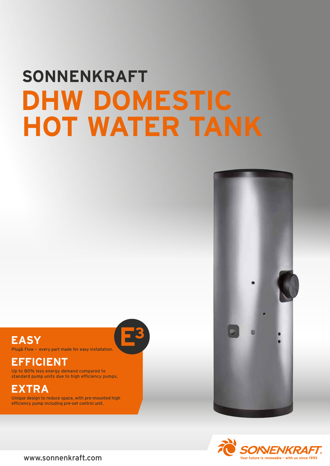# **SONNENKRAFT DHW DOMESTIC HOT WATER TANK**



Plug& Flow – every part made for easy installation.

## **EFFICIENT**

Up to 80% less energy demand compared to standard pump units due to high efficiency pumps.

## **EXTRA**

Unique design to reduce space, with pre-mounted high efficiency pump including pre-set control unit.







www.sonnenkraft.com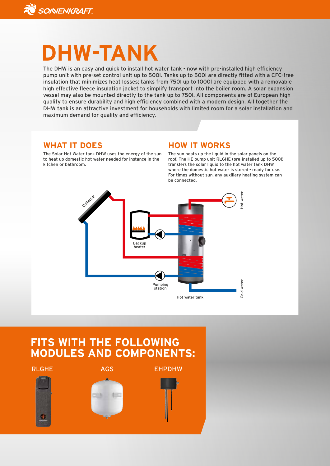

## **DHW-TANK**

The DHW is an easy and quick to install hot water tank - now with pre-installed high efficiency pump unit with pre-set control unit up to 500l. Tanks up to 500l are directly fitted with a CFC-free insulation that minimizes heat losses; tanks from 750l up to 1000l are equipped with a removable high effective fleece insulation jacket to simplify transport into the boiler room. A solar expansion vessel may also be mounted directly to the tank up to 750l. All components are of European high quality to ensure durability and high efficiency combined with a modern design. All together the DHW tank is an attractive investment for households with limited room for a solar installation and maximum demand for quality and efficiency.

#### **WHAT IT DOES**

The Solar Hot Water tank DHW uses the energy of the sun to heat up domestic hot water needed for instance in the kitchen or bathroom.

#### **HOW IT WORKS**

The sun heats up the liquid in the solar panels on the roof. The HE pump unit RLGHE (pre-installed up to 500l) transfers the solar liquid to the hot water tank DHW where the domestic hot water is stored - ready for use. For times without sun, any auxiliary heating system can be connected.



### **FITS WITH THE FOLLOWING MODULES AND COMPONENTS:**

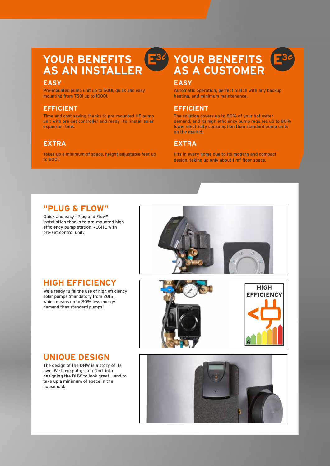#### **YOUR BENEFITS** E<sup>3</sup> **AS AN INSTALLER**

#### **EASY**

Pre-mounted pump unit up to 500l, quick and easy mounting from 750l up to 1000l.

#### **EFFICIENT**

Time and cost saving thanks to pre-mounted HE pump unit with pre-set controller and ready –to- install solar expansion tank.

#### **EXTRA**

Takes up a minimum of space, height adjustable feet up to 500l.

## **YOUR BENEFITS AS A CUSTOMER**



Automatic operation, perfect match with any backup heating, and minimum maintenance.

#### **EFFICIENT**

The solution covers up to 80% of your hot water demand, and its high efficiency pump requires up to 80% lower electricity consumption than standard pump units on the market.

#### **EXTRA**

Fits in every home due to its modern and compact design, taking up only about 1 m**<sup>2</sup>** floor space.

#### **"PLUG & FLOW"**

Quick and easy "Plug and Flow" installation thanks to pre-mounted high efficiency pump station RLGHE with pre-set control unit.



#### **HIGH EFFICIENCY**

We already fulfill the use of high efficiency solar pumps (mandatory from 2015), which means up to 80% less energy demand than standard pumps!



#### **UNIQUE DESIGN**

The design of the DHW is a story of its own. We have put great effort into designing the DHW to look great – and to take up a minimum of space in the household.